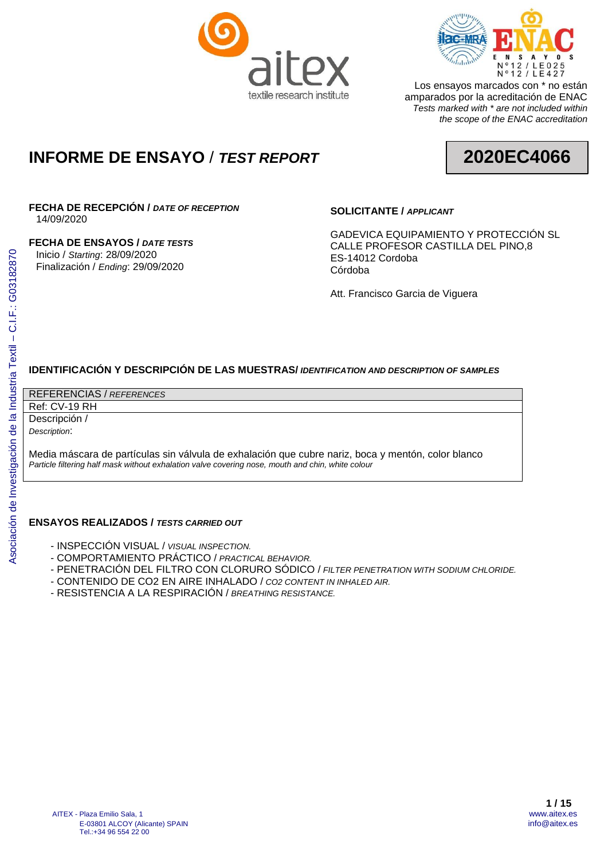



Los ensayos marcados con \* no están amparados por la acreditación de ENAC *Tests marked with \* are not included within the scope of the ENAC accreditation*

# **INFORME DE ENSAYO** / *TEST REPORT*



## **FECHA DE RECEPCIÓN /** *DATE OF RECEPTION* 14/09/2020

**FECHA DE ENSAYOS /** *DATE TESTS*

Inicio / *Starting*: 28/09/2020 Finalización / *Ending*: 29/09/2020

## **SOLICITANTE /** *APPLICANT*

GADEVICA EQUIPAMIENTO Y PROTECCIÓN SL CALLE PROFESOR CASTILLA DEL PINO,8 ES-14012 Cordoba Córdoba

Att. Francisco Garcia de Viguera

## **IDENTIFICACIÓN Y DESCRIPCIÓN DE LAS MUESTRAS/** *IDENTIFICATION AND DESCRIPTION OF SAMPLES*

REFERENCIAS / *REFERENCES*

Ref: CV-19 RH Descripción / *Description*:

Media máscara de partículas sin válvula de exhalación que cubre nariz, boca y mentón, color blanco *Particle filtering half mask without exhalation valve covering nose, mouth and chin, white colour*

## **ENSAYOS REALIZADOS /** *TESTS CARRIED OUT*

- INSPECCIÓN VISUAL / *VISUAL INSPECTION.*
- COMPORTAMIENTO PRÁCTICO / *PRACTICAL BEHAVIOR.*
- PENETRACIÓN DEL FILTRO CON CLORURO SÓDICO / *FILTER PENETRATION WITH SODIUM CHLORIDE.*
- CONTENIDO DE CO2 EN AIRE INHALADO / *CO2 CONTENT IN INHALED AIR.*
- RESISTENCIA A LA RESPIRACIÓN / *BREATHING RESISTANCE.*

**Ce**AITEX - Plaza Emilio Sala, 1 www.aitex.es E-03801 ALCOY (Alicante) SPAIN Tel.:+34 96 554 22 00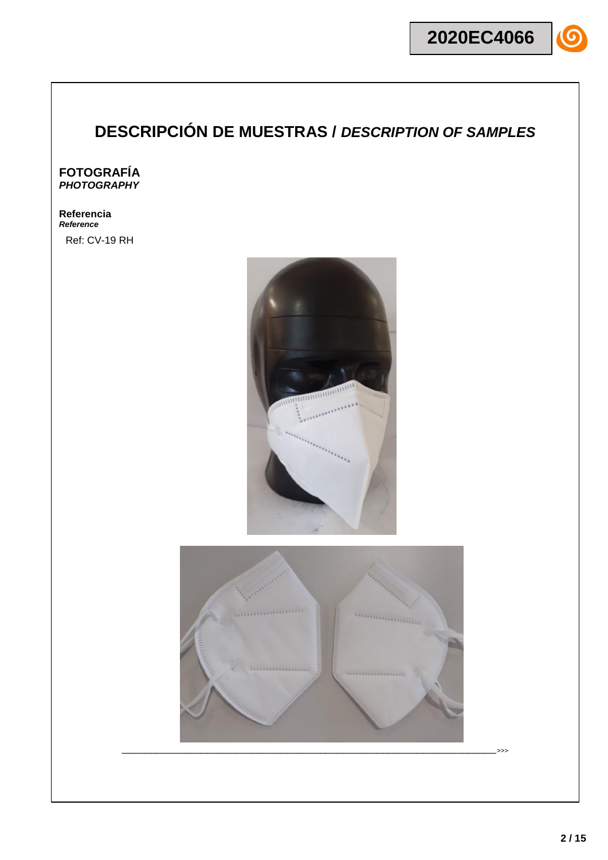# **DESCRIPCIÓN DE MUESTRAS /** *DESCRIPTION OF SAMPLES*

## **FOTOGRAFÍA** *PHOTOGRAPHY*

#### **Referencia** *Reference*

Ref: CV-19 RH



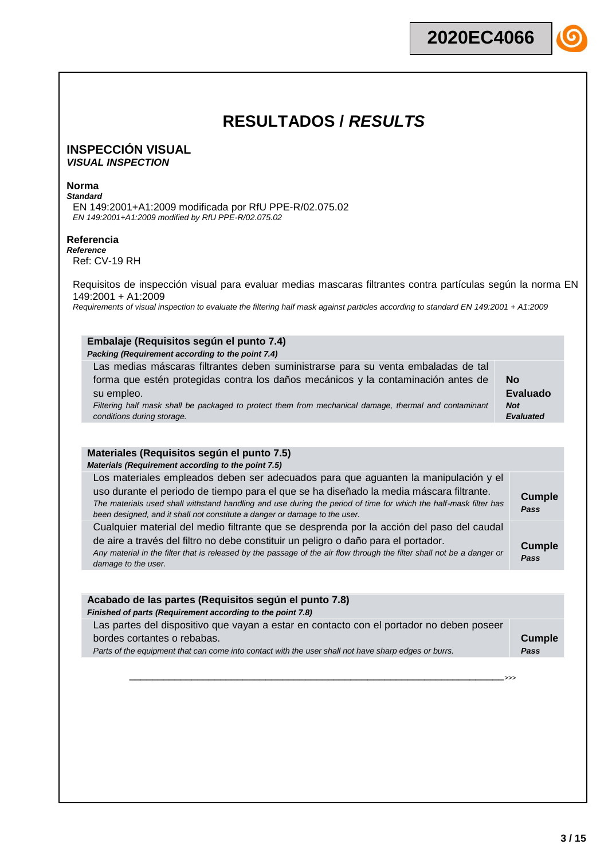### **INSPECCIÓN VISUAL** *VISUAL INSPECTION*

#### **Norma** *Standard*

EN 149:2001+A1:2009 modificada por RfU PPE-R/02.075.02 *EN 149:2001+A1:2009 modified by RfU PPE-R/02.075.02*

### **Referencia**

*Reference* Ref: CV-19 RH

Requisitos de inspección visual para evaluar medias mascaras filtrantes contra partículas según la norma EN 149:2001 + A1:2009

*Requirements of visual inspection to evaluate the filtering half mask against particles according to standard EN 149:2001 + A1:2009*

### **Embalaje (Requisitos según el punto 7.4)** *Packing (Requirement according to the point 7.4)*

Las medias máscaras filtrantes deben suministrarse para su venta embaladas de tal forma que estén protegidas contra los daños mecánicos y la contaminación antes de su empleo.

*Filtering half mask shall be packaged to protect them from mechanical damage, thermal and contaminant conditions during storage.*

**No Evaluado** *Not Evaluated*

#### **Materiales (Requisitos según el punto 7.5)** *Materials (Requirement according to the point 7.5)* Los materiales empleados deben ser adecuados para que aguanten la manipulación y el uso durante el periodo de tiempo para el que se ha diseñado la media máscara filtrante. *The materials used shall withstand handling and use during the period of time for which the half-mask filter has been designed, and it shall not constitute a danger or damage to the user.* **Cumple** *Pass* Cualquier material del medio filtrante que se desprenda por la acción del paso del caudal de aire a través del filtro no debe constituir un peligro o daño para el portador. *Any material in the filter that is released by the passage of the air flow through the filter shall not be a danger or damage to the user.* **Cumple** *Pass*

| Acabado de las partes (Requisitos según el punto 7.8)                                                |        |
|------------------------------------------------------------------------------------------------------|--------|
| Finished of parts (Requirement according to the point 7.8)                                           |        |
| Las partes del dispositivo que vayan a estar en contacto con el portador no deben poseer             |        |
| bordes cortantes o rebabas.                                                                          | Cumple |
| Parts of the equipment that can come into contact with the user shall not have sharp edges or burrs. | Pass   |

\_\_\_\_\_\_\_\_\_\_\_\_\_\_\_\_\_\_\_\_\_\_\_\_\_\_\_\_\_\_\_\_\_\_\_\_\_\_\_\_\_\_\_\_\_\_\_\_\_\_\_\_\_\_\_\_\_\_\_\_\_\_\_\_\_\_>>>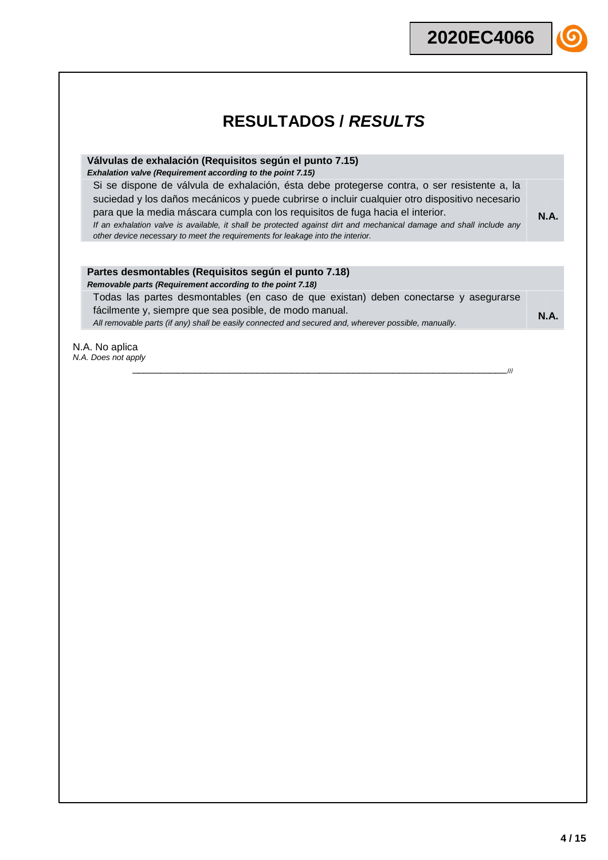### **Válvulas de exhalación (Requisitos según el punto 7.15)**

*Exhalation valve (Requirement according to the point 7.15)*

Si se dispone de válvula de exhalación, ésta debe protegerse contra, o ser resistente a, la suciedad y los daños mecánicos y puede cubrirse o incluir cualquier otro dispositivo necesario para que la media máscara cumpla con los requisitos de fuga hacia el interior. *If an exhalation valve is available, it shall be protected against dirt and mechanical damage and shall include any other device necessary to meet the requirements for leakage into the interior.* **N.A.**

### **Partes desmontables (Requisitos según el punto 7.18)**

*Removable parts (Requirement according to the point 7.18)*

| Todas las partes desmontables (en caso de que existan) deben conectarse y asegurarse                 |      |
|------------------------------------------------------------------------------------------------------|------|
| fácilmente y, siempre que sea posible, de modo manual.                                               | N.A. |
| All removable parts (if any) shall be easily connected and secured and, wherever possible, manually. |      |

\_\_\_\_\_\_\_\_\_\_\_\_\_\_\_\_\_\_\_\_\_\_\_\_\_\_\_\_\_\_\_\_\_\_\_\_\_\_\_\_\_\_\_\_\_\_\_\_\_\_\_\_\_\_\_\_\_\_\_\_\_\_\_\_\_\_///

N.A. No aplica *N.A. Does not apply*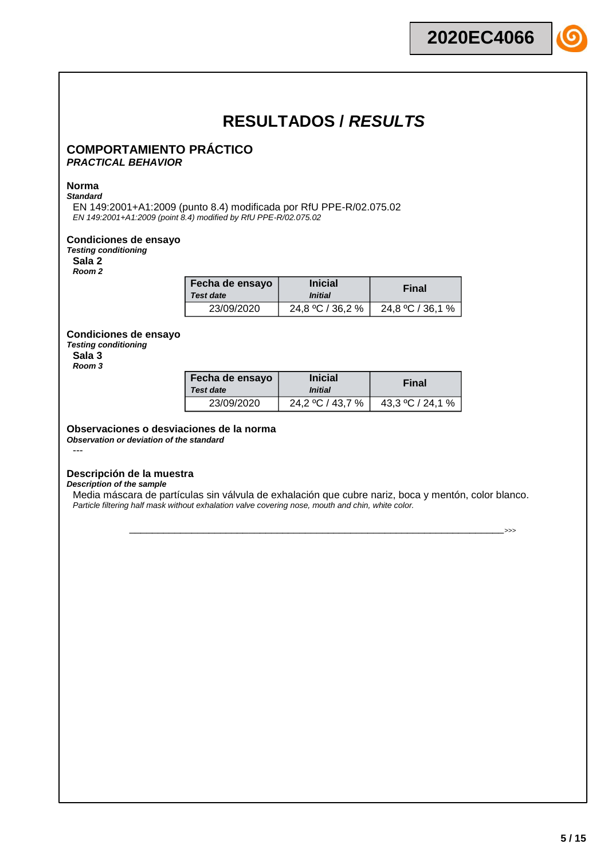## **COMPORTAMIENTO PRÁCTICO** *PRACTICAL BEHAVIOR*

## **Norma**

#### *Standard*

EN 149:2001+A1:2009 (punto 8.4) modificada por RfU PPE-R/02.075.02 *EN 149:2001+A1:2009 (point 8.4) modified by RfU PPE-R/02.075.02*

## **Condiciones de ensayo**

*Testing conditioning* **Sala 2**

*Room 2*

| Fecha de ensayo<br>Test date | <b>Inicial</b><br><i>Initial</i> | Final            |
|------------------------------|----------------------------------|------------------|
| 23/09/2020                   | 24,8 °C / 36,2 %                 | 24,8 °C / 36,1 % |

## **Condiciones de ensayo**

*Testing conditioning* **Sala 3**

*Room 3*

| Fecha de ensayo<br>Test date | <b>Inicial</b><br><i>Initial</i> | Final            |
|------------------------------|----------------------------------|------------------|
| 23/09/2020                   | 24,2 °C / 43,7 %                 | 43,3 °C / 24,1 % |

\_\_\_\_\_\_\_\_\_\_\_\_\_\_\_\_\_\_\_\_\_\_\_\_\_\_\_\_\_\_\_\_\_\_\_\_\_\_\_\_\_\_\_\_\_\_\_\_\_\_\_\_\_\_\_\_\_\_\_\_\_\_\_\_\_\_>>>

**Observaciones o desviaciones de la norma**

*Observation or deviation of the standard*

---

## **Descripción de la muestra**

*Description of the sample*

Media máscara de partículas sin válvula de exhalación que cubre nariz, boca y mentón, color blanco. *Particle filtering half mask without exhalation valve covering nose, mouth and chin, white color.*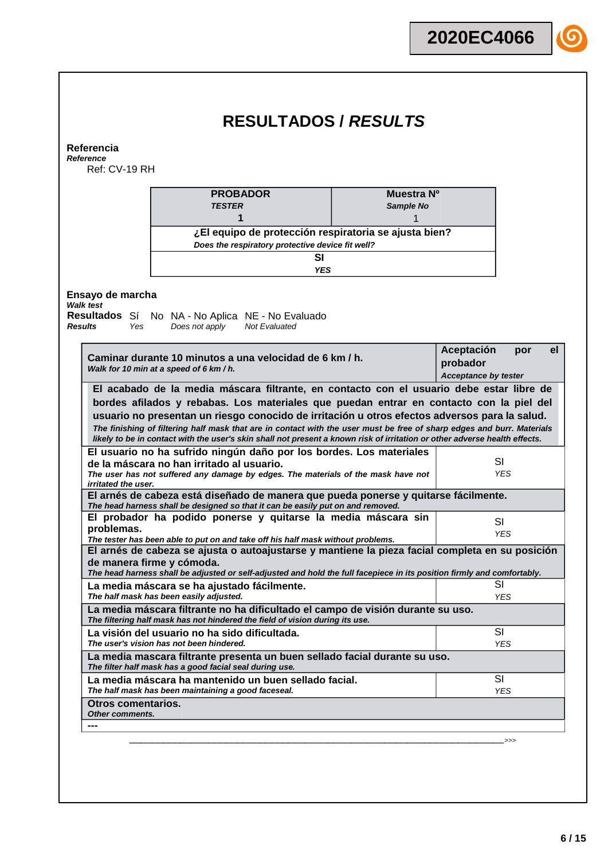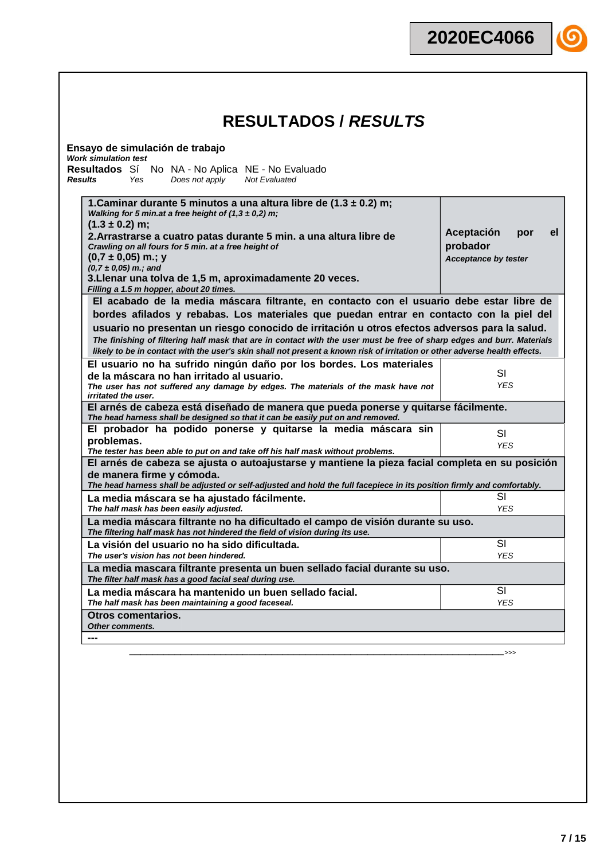| <b>RESULTADOS / RESULTS</b>                                                                                                                                                                                                                                                                                                                                                                                                                                                                                                                  |                                                                    |
|----------------------------------------------------------------------------------------------------------------------------------------------------------------------------------------------------------------------------------------------------------------------------------------------------------------------------------------------------------------------------------------------------------------------------------------------------------------------------------------------------------------------------------------------|--------------------------------------------------------------------|
| Ensayo de simulación de trabajo                                                                                                                                                                                                                                                                                                                                                                                                                                                                                                              |                                                                    |
| <b>Work simulation test</b><br>Resultados Sí No NA - No Aplica NE - No Evaluado<br>Yes<br>Does not apply<br>Results<br><b>Not Evaluated</b>                                                                                                                                                                                                                                                                                                                                                                                                  |                                                                    |
| 1. Caminar durante 5 minutos a una altura libre de (1.3 $\pm$ 0.2) m;<br>Walking for 5 min.at a free height of $(1,3 \pm 0,2)$ m;<br>$(1.3 \pm 0.2)$ m;                                                                                                                                                                                                                                                                                                                                                                                      |                                                                    |
| 2. Arrastrarse a cuatro patas durante 5 min. a una altura libre de<br>Crawling on all fours for 5 min. at a free height of<br>$(0,7 \pm 0,05)$ m.; y<br>$(0,7 \pm 0.05)$ m.; and                                                                                                                                                                                                                                                                                                                                                             | Aceptación<br>el<br>por<br>probador<br><b>Acceptance by tester</b> |
| 3. Lienar una tolva de 1,5 m, aproximadamente 20 veces.<br>Filling a 1.5 m hopper, about 20 times.                                                                                                                                                                                                                                                                                                                                                                                                                                           |                                                                    |
| El acabado de la media máscara filtrante, en contacto con el usuario debe estar libre de<br>bordes afilados y rebabas. Los materiales que puedan entrar en contacto con la piel del<br>usuario no presentan un riesgo conocido de irritación u otros efectos adversos para la salud.<br>The finishing of filtering half mask that are in contact with the user must be free of sharp edges and burr. Materials<br>likely to be in contact with the user's skin shall not present a known risk of irritation or other adverse health effects. |                                                                    |
| El usuario no ha sufrido ningún daño por los bordes. Los materiales                                                                                                                                                                                                                                                                                                                                                                                                                                                                          |                                                                    |
| de la máscara no han irritado al usuario.<br>The user has not suffered any damage by edges. The materials of the mask have not<br><i>irritated the user.</i>                                                                                                                                                                                                                                                                                                                                                                                 | <b>SI</b><br><b>YES</b>                                            |
|                                                                                                                                                                                                                                                                                                                                                                                                                                                                                                                                              |                                                                    |
| El arnés de cabeza está diseñado de manera que pueda ponerse y quitarse fácilmente.                                                                                                                                                                                                                                                                                                                                                                                                                                                          |                                                                    |
| The head harness shall be designed so that it can be easily put on and removed.<br>El probador ha podido ponerse y quitarse la media máscara sin                                                                                                                                                                                                                                                                                                                                                                                             |                                                                    |
| problemas.                                                                                                                                                                                                                                                                                                                                                                                                                                                                                                                                   | SI<br><b>YES</b>                                                   |
| The tester has been able to put on and take off his half mask without problems.<br>El arnés de cabeza se ajusta o autoajustarse y mantiene la pieza facial completa en su posición<br>de manera firme y cómoda.                                                                                                                                                                                                                                                                                                                              |                                                                    |
| The head harness shall be adjusted or self-adjusted and hold the full facepiece in its position firmly and comfortably.                                                                                                                                                                                                                                                                                                                                                                                                                      |                                                                    |
| La media máscara se ha ajustado fácilmente.<br>The half mask has been easily adjusted.                                                                                                                                                                                                                                                                                                                                                                                                                                                       | SI<br><b>YES</b>                                                   |
| La media máscara filtrante no ha dificultado el campo de visión durante su uso.                                                                                                                                                                                                                                                                                                                                                                                                                                                              |                                                                    |
| The filtering half mask has not hindered the field of vision during its use.<br>La visión del usuario no ha sido dificultada.<br>The user's vision has not been hindered.                                                                                                                                                                                                                                                                                                                                                                    | SI                                                                 |
| La media mascara filtrante presenta un buen sellado facial durante su uso.                                                                                                                                                                                                                                                                                                                                                                                                                                                                   | <b>YES</b>                                                         |
| The filter half mask has a good facial seal during use.<br>La media máscara ha mantenido un buen sellado facial.                                                                                                                                                                                                                                                                                                                                                                                                                             | SI                                                                 |
| The half mask has been maintaining a good faceseal.<br><b>Otros comentarios.</b>                                                                                                                                                                                                                                                                                                                                                                                                                                                             | <b>YES</b>                                                         |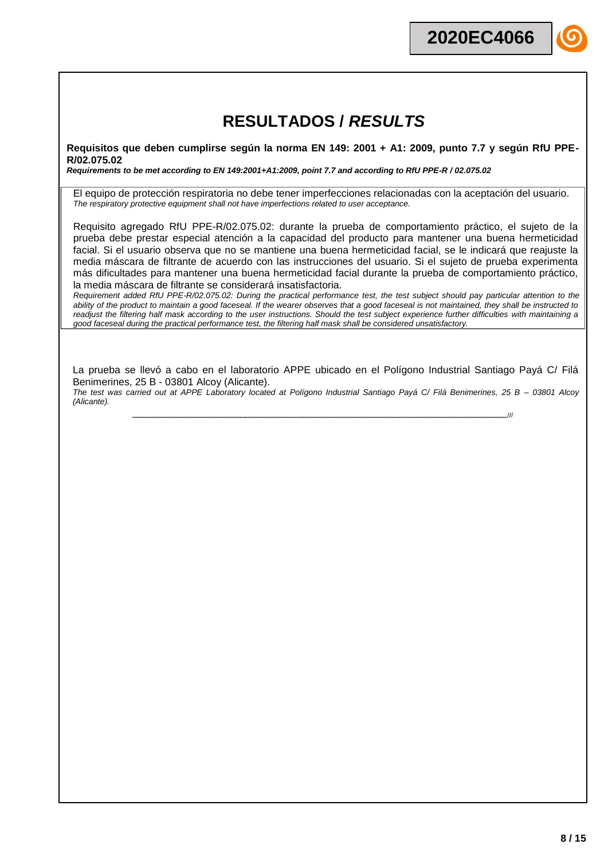**2020EC4066**

# **RESULTADOS /** *RESULTS*

**Requisitos que deben cumplirse según la norma EN 149: 2001 + A1: 2009, punto 7.7 y según RfU PPE-R/02.075.02**

*Requirements to be met according to EN 149:2001+A1:2009, point 7.7 and according to RfU PPE-R / 02.075.02*

El equipo de protección respiratoria no debe tener imperfecciones relacionadas con la aceptación del usuario. *The respiratory protective equipment shall not have imperfections related to user acceptance.*

Requisito agregado RfU PPE-R/02.075.02: durante la prueba de comportamiento práctico, el sujeto de la prueba debe prestar especial atención a la capacidad del producto para mantener una buena hermeticidad facial. Si el usuario observa que no se mantiene una buena hermeticidad facial, se le indicará que reajuste la media máscara de filtrante de acuerdo con las instrucciones del usuario. Si el sujeto de prueba experimenta más dificultades para mantener una buena hermeticidad facial durante la prueba de comportamiento práctico, la media máscara de filtrante se considerará insatisfactoria.

*Requirement added RfU PPE-R/02.075.02: During the practical performance test, the test subject should pay particular attention to the ability of the product to maintain a good faceseal. If the wearer observes that a good faceseal is not maintained, they shall be instructed to readjust the filtering half mask according to the user instructions. Should the test subject experience further difficulties with maintaining a good faceseal during the practical performance test, the filtering half mask shall be considered unsatisfactory.*

La prueba se llevó a cabo en el laboratorio APPE ubicado en el Polígono Industrial Santiago Payá C/ Filá Benimerines, 25 B - 03801 Alcoy (Alicante).

*The test was carried out at APPE Laboratory located at Polígono Industrial Santiago Payá C/ Filá Benimerines, 25 B – 03801 Alcoy (Alicante).* \_\_\_\_\_\_\_\_\_\_\_\_\_\_\_\_\_\_\_\_\_\_\_\_\_\_\_\_\_\_\_\_\_\_\_\_\_\_\_\_\_\_\_\_\_\_\_\_\_\_\_\_\_\_\_\_\_\_\_\_\_\_\_\_\_\_///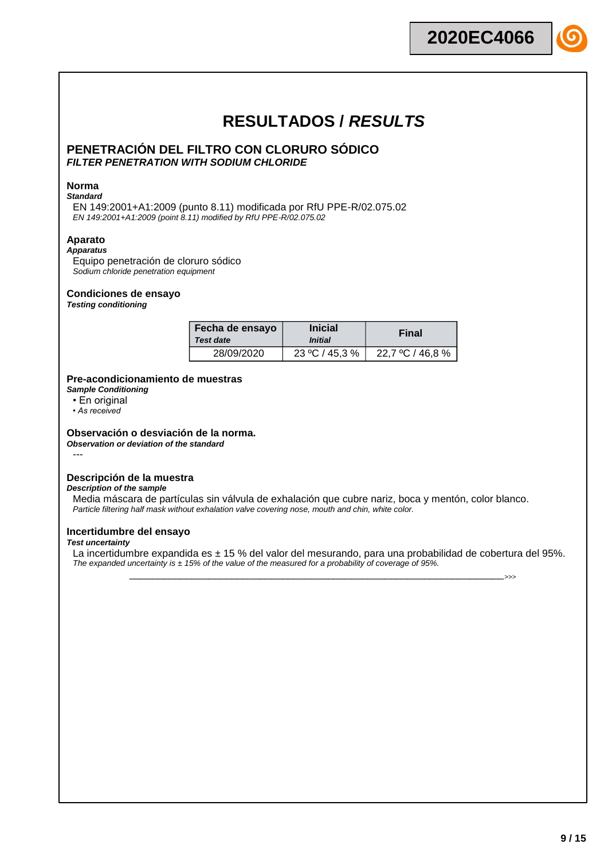## **PENETRACIÓN DEL FILTRO CON CLORURO SÓDICO** *FILTER PENETRATION WITH SODIUM CHLORIDE*

## **Norma**

*Standard*

EN 149:2001+A1:2009 (punto 8.11) modificada por RfU PPE-R/02.075.02 *EN 149:2001+A1:2009 (point 8.11) modified by RfU PPE-R/02.075.02*

### **Aparato**

## *Apparatus*

Equipo penetración de cloruro sódico *Sodium chloride penetration equipment*

### **Condiciones de ensayo**

*Testing conditioning*

| Fecha de ensayo<br>Test date | <b>Inicial</b><br><i>Initial</i> | Final            |
|------------------------------|----------------------------------|------------------|
| 28/09/2020                   | 23 °C / 45,3 %                   | 22,7 °C / 46,8 % |

### **Pre-acondicionamiento de muestras**

*Sample Conditioning*

• En original

*• As received*

### **Observación o desviación de la norma.**

*Observation or deviation of the standard*

---

### **Descripción de la muestra**

*Description of the sample*

Media máscara de partículas sin válvula de exhalación que cubre nariz, boca y mentón, color blanco. *Particle filtering half mask without exhalation valve covering nose, mouth and chin, white color.*

### **Incertidumbre del ensayo**

### *Test uncertainty*

La incertidumbre expandida es ± 15 % del valor del mesurando, para una probabilidad de cobertura del 95%. *The expanded uncertainty is ± 15% of the value of the measured for a probability of coverage of 95%.* \_\_\_\_\_\_\_\_\_\_\_\_\_\_\_\_\_\_\_\_\_\_\_\_\_\_\_\_\_\_\_\_\_\_\_\_\_\_\_\_\_\_\_\_\_\_\_\_\_\_\_\_\_\_\_\_\_\_\_\_\_\_\_\_\_\_>>>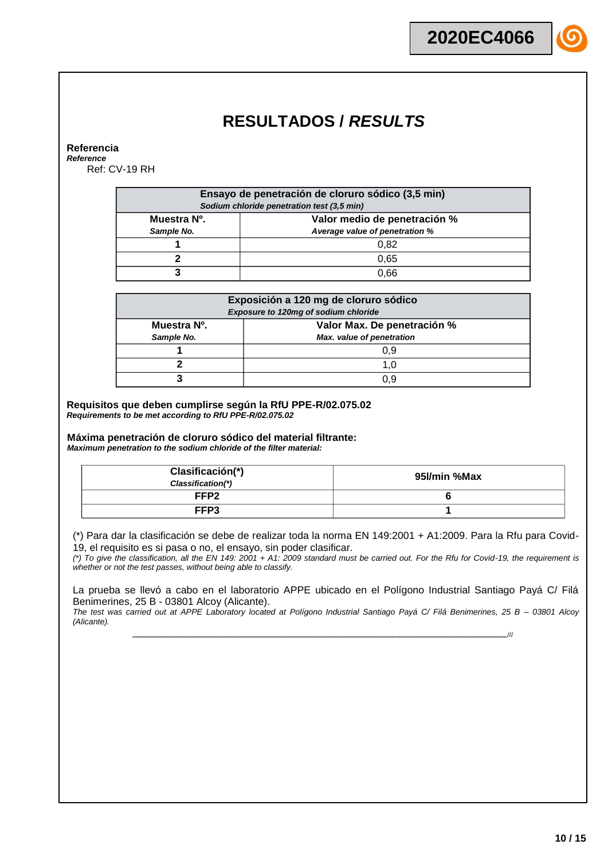#### **Referencia** *Reference*

Ref: CV-19 RH

| Ensayo de penetración de cloruro sódico (3,5 min)<br>Sodium chloride penetration test (3,5 min) |                                |
|-------------------------------------------------------------------------------------------------|--------------------------------|
| Valor medio de penetración %<br>Muestra Nº.                                                     |                                |
| Sample No.                                                                                      | Average value of penetration % |
|                                                                                                 | 0.82                           |
|                                                                                                 | 0.65                           |
|                                                                                                 | 0.66                           |

| Exposición a 120 mg de cloruro sódico<br>Exposure to 120mg of sodium chloride |     |  |
|-------------------------------------------------------------------------------|-----|--|
| Valor Max. De penetración %<br>Muestra Nº.                                    |     |  |
| Max. value of penetration<br>Sample No.                                       |     |  |
|                                                                               | 0.9 |  |
|                                                                               |     |  |
|                                                                               |     |  |

**Requisitos que deben cumplirse según la RfU PPE-R/02.075.02** *Requirements to be met according to RfU PPE-R/02.075.02*

**Máxima penetración de cloruro sódico del material filtrante:**

*Maximum penetration to the sodium chloride of the filter material:*

| Clasificación(*)<br>Classification(*) | 95I/min %Max |
|---------------------------------------|--------------|
| FFP <sub>2</sub>                      |              |
| FFP <sub>3</sub>                      |              |

(\*) Para dar la clasificación se debe de realizar toda la norma EN 149:2001 + A1:2009. Para la Rfu para Covid-19, el requisito es si pasa o no, el ensayo, sin poder clasificar.

*(\*) To give the classification, all the EN 149: 2001 + A1: 2009 standard must be carried out. For the Rfu for Covid-19, the requirement is whether or not the test passes, without being able to classify.*

La prueba se llevó a cabo en el laboratorio APPE ubicado en el Polígono Industrial Santiago Payá C/ Filá Benimerines, 25 B - 03801 Alcoy (Alicante).

*The test was carried out at APPE Laboratory located at Polígono Industrial Santiago Payá C/ Filá Benimerines, 25 B – 03801 Alcoy (Alicante).* \_\_\_\_\_\_\_\_\_\_\_\_\_\_\_\_\_\_\_\_\_\_\_\_\_\_\_\_\_\_\_\_\_\_\_\_\_\_\_\_\_\_\_\_\_\_\_\_\_\_\_\_\_\_\_\_\_\_\_\_\_\_\_\_\_\_///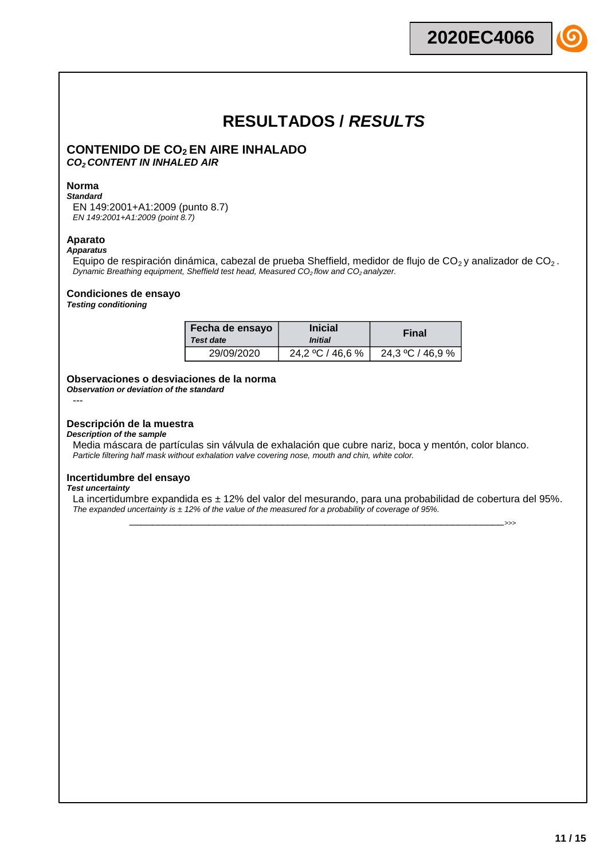## **CONTENIDO DE CO2 EN AIRE INHALADO** *CO2 CONTENT IN INHALED AIR*

#### **Norma** *Standard*

EN 149:2001+A1:2009 (punto 8.7) *EN 149:2001+A1:2009 (point 8.7)*

### **Aparato**

## *Apparatus*

Equipo de respiración dinámica, cabezal de prueba Sheffield, medidor de flujo de CO<sub>2</sub> y analizador de CO<sub>2</sub>. *Dynamic Breathing equipment, Sheffield test head, Measured CO2 flow and CO2 analyzer.*

### **Condiciones de ensayo**

*Testing conditioning*

| Fecha de ensayo<br>Test date | <b>Inicial</b><br><i>Initial</i> | Final            |
|------------------------------|----------------------------------|------------------|
| 29/09/2020                   | 24,2 °C / 46,6 %                 | 24,3 °C / 46,9 % |

## **Observaciones o desviaciones de la norma**

*Observation or deviation of the standard*

---

### **Descripción de la muestra**

*Description of the sample*

Media máscara de partículas sin válvula de exhalación que cubre nariz, boca y mentón, color blanco. *Particle filtering half mask without exhalation valve covering nose, mouth and chin, white color.*

### **Incertidumbre del ensayo**

## *Test uncertainty*

La incertidumbre expandida es ± 12% del valor del mesurando, para una probabilidad de cobertura del 95%. *The expanded uncertainty is ± 12% of the value of the measured for a probability of coverage of 95%.* \_\_\_\_\_\_\_\_\_\_\_\_\_\_\_\_\_\_\_\_\_\_\_\_\_\_\_\_\_\_\_\_\_\_\_\_\_\_\_\_\_\_\_\_\_\_\_\_\_\_\_\_\_\_\_\_\_\_\_\_\_\_\_\_\_\_>>>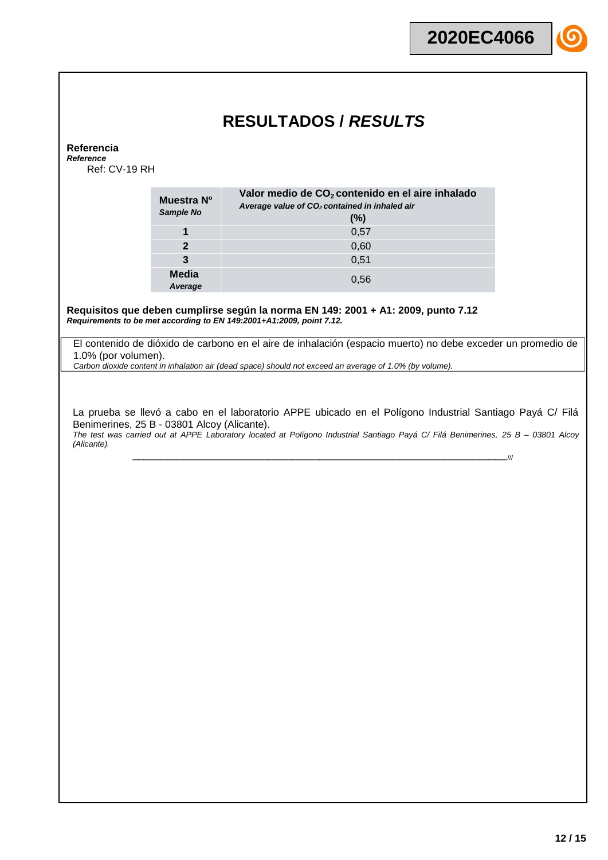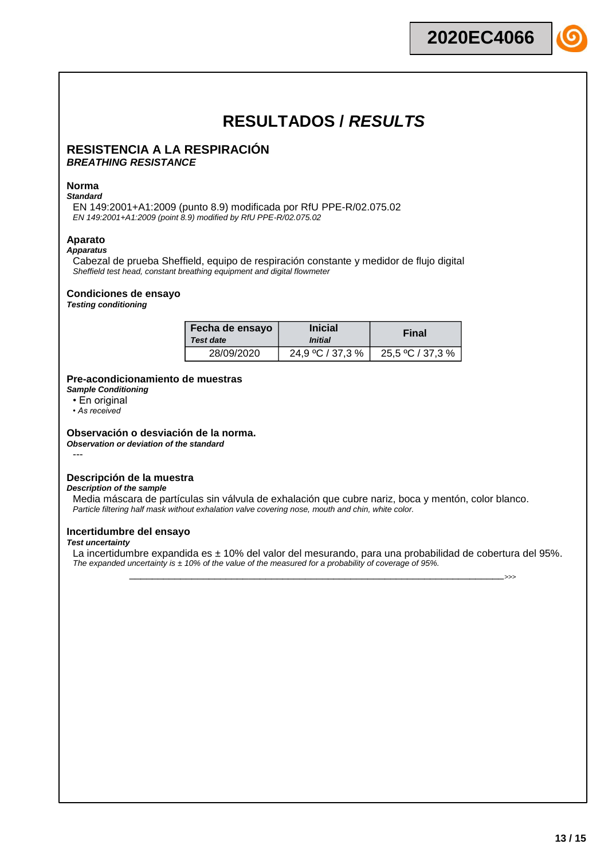## **RESISTENCIA A LA RESPIRACIÓN** *BREATHING RESISTANCE*

## **Norma**

### *Standard*

EN 149:2001+A1:2009 (punto 8.9) modificada por RfU PPE-R/02.075.02 *EN 149:2001+A1:2009 (point 8.9) modified by RfU PPE-R/02.075.02*

### **Aparato**

### *Apparatus*

Cabezal de prueba Sheffield, equipo de respiración constante y medidor de flujo digital *Sheffield test head, constant breathing equipment and digital flowmeter*

### **Condiciones de ensayo**

### *Testing conditioning*

| Fecha de ensayo<br>Test date | <b>Inicial</b><br><i>Initial</i> | Final            |
|------------------------------|----------------------------------|------------------|
| 28/09/2020                   | 24,9 °C / 37,3 %                 | 25,5 °C / 37,3 % |

### **Pre-acondicionamiento de muestras**

*Sample Conditioning*

• En original

*• As received*

#### **Observación o desviación de la norma.**

*Observation or deviation of the standard*

---

### **Descripción de la muestra**

*Description of the sample*

Media máscara de partículas sin válvula de exhalación que cubre nariz, boca y mentón, color blanco. *Particle filtering half mask without exhalation valve covering nose, mouth and chin, white color.*

### **Incertidumbre del ensayo**

### *Test uncertainty*

La incertidumbre expandida es ± 10% del valor del mesurando, para una probabilidad de cobertura del 95%. *The expanded uncertainty is ± 10% of the value of the measured for a probability of coverage of 95%.*

\_\_\_\_\_\_\_\_\_\_\_\_\_\_\_\_\_\_\_\_\_\_\_\_\_\_\_\_\_\_\_\_\_\_\_\_\_\_\_\_\_\_\_\_\_\_\_\_\_\_\_\_\_\_\_\_\_\_\_\_\_\_\_\_\_\_>>>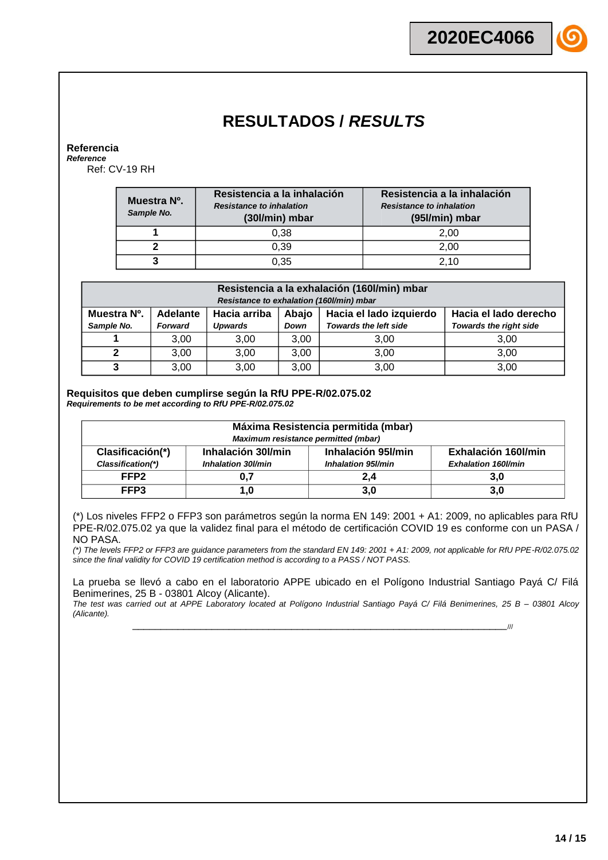#### **Referencia** *Reference*

Ref: CV-19 RH

| Muestra Nº.<br>Sample No. | Resistencia a la inhalación<br><b>Resistance to inhalation</b><br>(30I/min) mbar | Resistencia a la inhalación<br><b>Resistance to inhalation</b><br>(95I/min) mbar |
|---------------------------|----------------------------------------------------------------------------------|----------------------------------------------------------------------------------|
|                           | 0.38                                                                             | 2.00                                                                             |
|                           | 0.39                                                                             | 2.00                                                                             |
| 3                         | 0.35                                                                             | 2.10                                                                             |

| Resistencia a la exhalación (160l/min) mbar |                |                |       |                              |                        |  |
|---------------------------------------------|----------------|----------------|-------|------------------------------|------------------------|--|
| Resistance to exhalation (160l/min) mbar    |                |                |       |                              |                        |  |
| Muestra Nº.                                 | Adelante       | Hacia arriba   | Abajo | Hacia el lado izquierdo      | Hacia el lado derecho  |  |
| Sample No.                                  | <b>Forward</b> | <b>Upwards</b> | Down  | <b>Towards the left side</b> | Towards the right side |  |
|                                             | 3.00           | 3,00           | 3.00  | 3,00                         | 3.00                   |  |
|                                             | 3.00           | 3,00           | 3,00  | 3,00                         | 3.00                   |  |
|                                             | 3,00           | 3,00           | 3,00  | 3,00                         | 3,00                   |  |

**Requisitos que deben cumplirse según la RfU PPE-R/02.075.02** *Requirements to be met according to RfU PPE-R/02.075.02*

| Máxima Resistencia permitida (mbar)<br>Maximum resistance permitted (mbar) |                    |                           |                            |  |  |  |
|----------------------------------------------------------------------------|--------------------|---------------------------|----------------------------|--|--|--|
| Clasificación(*)                                                           | Inhalación 30I/min | Inhalación 95I/min        | Exhalación 160l/min        |  |  |  |
| Classification(*)                                                          | Inhalation 30l/min | <b>Inhalation 95I/min</b> | <b>Exhalation 160l/min</b> |  |  |  |
| FFP <sub>2</sub>                                                           | 0.7                | 2,4                       | 3.0                        |  |  |  |
| FFP3                                                                       | 1.0                | 3,0                       | 3,0                        |  |  |  |

(\*) Los niveles FFP2 o FFP3 son parámetros según la norma EN 149: 2001 + A1: 2009, no aplicables para RfU PPE-R/02.075.02 ya que la validez final para el método de certificación COVID 19 es conforme con un PASA / NO PASA.

*(\*) The levels FFP2 or FFP3 are guidance parameters from the standard EN 149: 2001 + A1: 2009, not applicable for RfU PPE-R/02.075.02 since the final validity for COVID 19 certification method is according to a PASS / NOT PASS.*

La prueba se llevó a cabo en el laboratorio APPE ubicado en el Polígono Industrial Santiago Payá C/ Filá Benimerines, 25 B - 03801 Alcoy (Alicante).

*The test was carried out at APPE Laboratory located at Polígono Industrial Santiago Payá C/ Filá Benimerines, 25 B – 03801 Alcoy (Alicante).* \_\_\_\_\_\_\_\_\_\_\_\_\_\_\_\_\_\_\_\_\_\_\_\_\_\_\_\_\_\_\_\_\_\_\_\_\_\_\_\_\_\_\_\_\_\_\_\_\_\_\_\_\_\_\_\_\_\_\_\_\_\_\_\_\_\_///